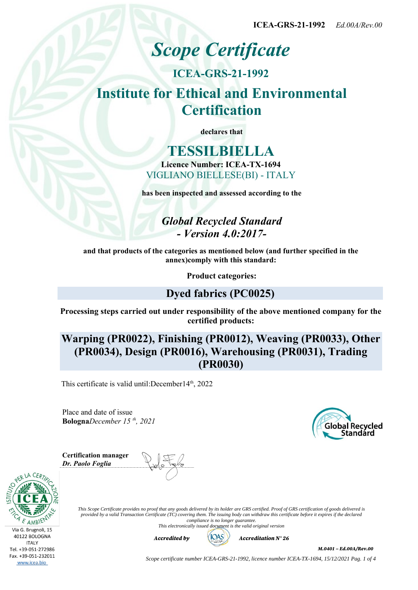**ICEA-GRS-21-1992** *Ed.00A/Rev.00*

# *Scope Certificate*

**ICEA-GRS-21-1992 Institute for Ethical and Environmental Certification**

**declares that**

**TESSILBIELLA Licence Number: ICEA-TX-1694** VIGLIANO BIELLESE(BI) - ITALY

**has been inspected and assessed according to the**

*Global Recycled Standard - Version 4.0:2017-*

**and that products of the categories as mentioned below (and further specified in the annex)comply with this standard:**

**Product categories:**

# **Dyed fabrics (PC0025)**

**Processing steps carried out under responsibility of the above mentioned company for the certified products:**

**Warping (PR0022), Finishing (PR0012), Weaving (PR0033), Other (PR0034), Design (PR0016), Warehousing (PR0031), Trading (PR0030)**

This certificate is valid until: December  $14<sup>th</sup>$ , 2022

Place and date of issue **Bologna***December 15 th, 2021* **Global Recycled** Standárd

**Certification manager** *Dr. Paolo Foglia*





*This Scope Certificate provides no proof that any goods delivered by its holder are GRS certified. Proof of GRS certification of goods delivered is provided by a valid Transaction Certificate (TC) covering them. The issuing body can withdraw this certificate before it expires if the declared compliance is no longer guarantee. This electronically issued document is the valid original version*



*M.0401 – Ed.00A/Rev.00*

*Scope certificate number ICEA-GRS-21-1992, licence number ICEA-TX-1694, 15/12/2021 Pag. 1 of 4*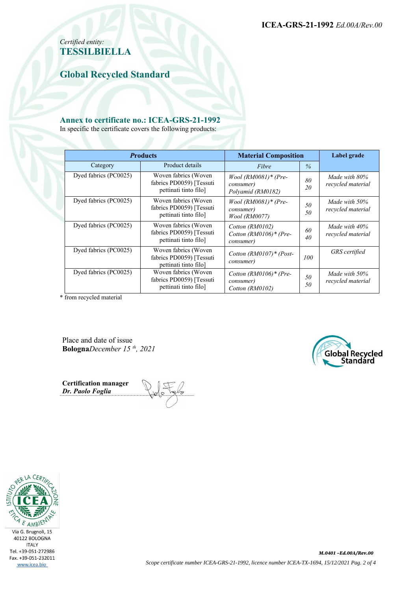*Certified entity:* **TESSILBIELLA**

**Global Recycled Standard**

#### **Annex to certificate no.: ICEA-GRS-21-1992**

In specific the certificate covers the following products:

| <b>Products</b>       |                                                                           | <b>Material Composition</b>                                      |          | Label grade                        |
|-----------------------|---------------------------------------------------------------------------|------------------------------------------------------------------|----------|------------------------------------|
| Category              | Product details                                                           | Fibre                                                            | $\%$     |                                    |
| Dyed fabrics (PC0025) | Woven fabrics (Woven<br>fabrics PD0059) [Tessuti<br>pettinati tinto filo] | $Wood (RM0081)* (Pre-$<br><i>consumer</i> )<br>Polyamid (RM0182) | 80<br>20 | Made with 80%<br>recycled material |
| Dyed fabrics (PC0025) | Woven fabrics (Woven<br>fabrics PD0059) [Tessuti<br>pettinati tinto filo] | $Wood (RM0081)* (Pre-$<br><i>consumer</i> )<br>Wool (RM0077)     | 50<br>50 | Made with 50%<br>recycled material |
| Dyed fabrics (PC0025) | Woven fabrics (Woven<br>fabrics PD0059) [Tessuti<br>pettinati tinto filo] | Cotton (RM0102)<br>Cotton $(RM0106)$ * (Pre-<br>consumer)        | 60<br>40 | Made with 40%<br>recycled material |
| Dyed fabrics (PC0025) | Woven fabrics (Woven<br>fabrics PD0059) [Tessuti<br>pettinati tinto filo] | Cotton $(RM0107)$ * (Post-<br>consumer)                          | 100      | <b>GRS</b> certified               |
| Dyed fabrics (PC0025) | Woven fabrics (Woven<br>fabrics PD0059) [Tessuti<br>pettinati tinto filo] | Cotton (RM0106)* (Pre-<br>consumer)<br>Cotton (RM0102)           | 50<br>50 | Made with 50%<br>recycled material |

\* from recycled material

Place and date of issue **Bologna***December 15 th, 2021*



**Certification manager** *Dr. Paolo Foglia*

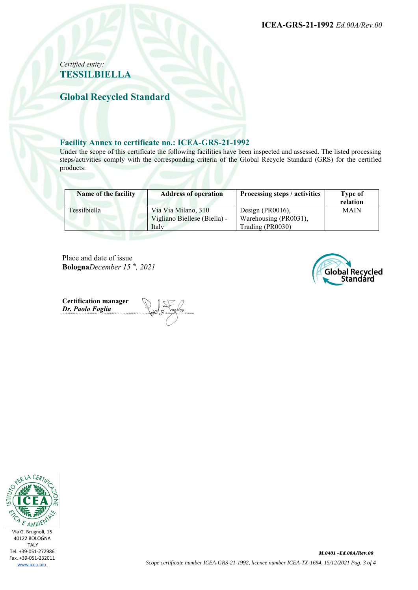**ICEA-GRS-21-1992** *Ed.00A/Rev.00*

## *Certified entity:* **TESSILBIELLA**

**Global Recycled Standard**

#### **Facility Annex to certificate no.: ICEA-GRS-21-1992**

Under the scope of this certificate the following facilities have been inspected and assessed. The listed processing steps/activities comply with the corresponding criteria of the Global Recycle Standard (GRS) for the certified products:

| Name of the facility | <b>Address of operation</b>  | Processing steps / activities | Type of<br>relation |
|----------------------|------------------------------|-------------------------------|---------------------|
| Tessilbiella         | Via Via Milano, 310          | Design (PR0016),              | <b>MAIN</b>         |
|                      | Vigliano Biellese (Biella) - | Warehousing (PR0031),         |                     |
|                      | Italy                        | Trading (PR0030)              |                     |

Place and date of issue **Bologna***December 15 th, 2021*



**Certification manager** *Dr. Paolo Foglia*